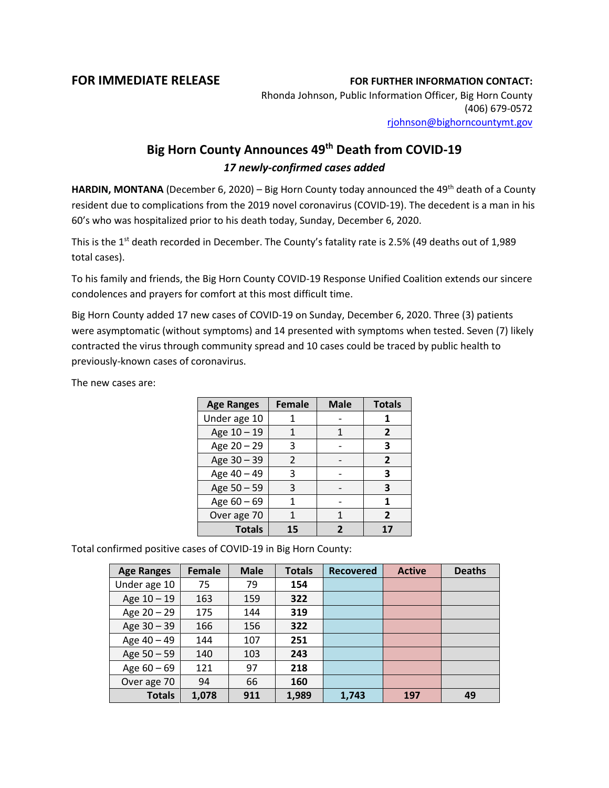## **FOR IMMEDIATE RELEASE FOR FURTHER INFORMATION CONTACT:**

Rhonda Johnson, Public Information Officer, Big Horn County (406) 679-0572 [rjohnson@bighorncountymt.gov](mailto:rjohnson@bighorncountymt.gov)

## **Big Horn County Announces 49th Death from COVID-19** *17 newly-confirmed cases added*

**HARDIN, MONTANA** (December 6, 2020) – Big Horn County today announced the 49<sup>th</sup> death of a County resident due to complications from the 2019 novel coronavirus (COVID-19). The decedent is a man in his 60's who was hospitalized prior to his death today, Sunday, December 6, 2020.

This is the  $1<sup>st</sup>$  death recorded in December. The County's fatality rate is 2.5% (49 deaths out of 1,989 total cases).

To his family and friends, the Big Horn County COVID-19 Response Unified Coalition extends our sincere condolences and prayers for comfort at this most difficult time.

Big Horn County added 17 new cases of COVID-19 on Sunday, December 6, 2020. Three (3) patients were asymptomatic (without symptoms) and 14 presented with symptoms when tested. Seven (7) likely contracted the virus through community spread and 10 cases could be traced by public health to previously-known cases of coronavirus.

The new cases are:

| <b>Age Ranges</b> | <b>Female</b> | <b>Male</b> | <b>Totals</b>  |
|-------------------|---------------|-------------|----------------|
| Under age 10      |               |             |                |
| Age 10 - 19       | 1             | 1           | 2              |
| Age 20 - 29       | 3             |             | 3              |
| Age 30 - 39       | $\mathcal{P}$ |             | $\overline{2}$ |
| Age 40 - 49       | 3             |             | 3              |
| Age 50 - 59       | 3             |             | 3              |
| Age $60 - 69$     | 1             |             | 1              |
| Over age 70       |               |             | $\overline{2}$ |
| <b>Totals</b>     | 15            |             |                |

Total confirmed positive cases of COVID-19 in Big Horn County:

| <b>Age Ranges</b> | <b>Female</b> | <b>Male</b> | <b>Totals</b> | <b>Recovered</b> | <b>Active</b> | <b>Deaths</b> |
|-------------------|---------------|-------------|---------------|------------------|---------------|---------------|
| Under age 10      | 75            | 79          | 154           |                  |               |               |
| Age 10 - 19       | 163           | 159         | 322           |                  |               |               |
| Age 20 - 29       | 175           | 144         | 319           |                  |               |               |
| Age 30 - 39       | 166           | 156         | 322           |                  |               |               |
| Age 40 - 49       | 144           | 107         | 251           |                  |               |               |
| Age 50 - 59       | 140           | 103         | 243           |                  |               |               |
| Age $60 - 69$     | 121           | 97          | 218           |                  |               |               |
| Over age 70       | 94            | 66          | 160           |                  |               |               |
| <b>Totals</b>     | 1,078         | 911         | 1,989         | 1,743            | 197           | 49            |